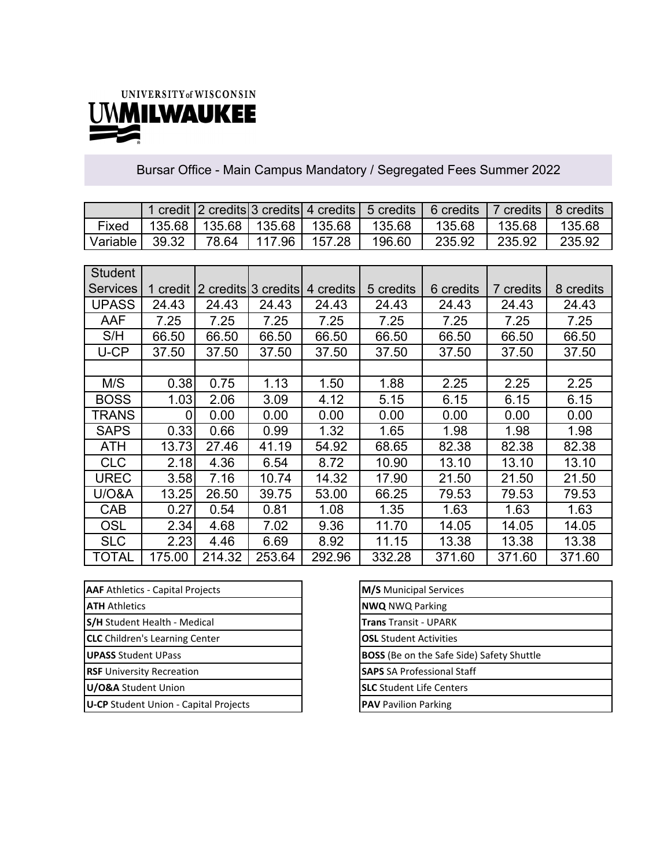

## Bursar Office - Main Campus Mandatory / Segregated Fees Summer 2022

|          |       |  |                                            | 1 credit 2 credits 3 credits 4 credits 5 credits 6 credits |        | 7 credits   8 credits |        |
|----------|-------|--|--------------------------------------------|------------------------------------------------------------|--------|-----------------------|--------|
| Fixed    |       |  | 135.68   135.68   135.68   135.68   135.68 |                                                            | 135.68 | 135 68                | 135.68 |
| Variable | 39.32 |  | 78.64 117.96 157.28                        | 196.60                                                     | 235.92 | 235.92                | 235.92 |

| <b>Student</b>   |          |        |                     |           |           |           |           |           |
|------------------|----------|--------|---------------------|-----------|-----------|-----------|-----------|-----------|
| <b>Services</b>  | 1 credit |        | 2 credits 3 credits | 4 credits | 5 credits | 6 credits | 7 credits | 8 credits |
| <b>UPASS</b>     | 24.43    | 24.43  | 24.43               | 24.43     | 24.43     | 24.43     | 24.43     | 24.43     |
| AAF              | 7.25     | 7.25   | 7.25                | 7.25      | 7.25      | 7.25      | 7.25      | 7.25      |
| S/H              | 66.50    | 66.50  | 66.50               | 66.50     | 66.50     | 66.50     | 66.50     | 66.50     |
| U-CP             | 37.50    | 37.50  | 37.50               | 37.50     | 37.50     | 37.50     | 37.50     | 37.50     |
|                  |          |        |                     |           |           |           |           |           |
| M/S              | 0.38     | 0.75   | 1.13                | 1.50      | 1.88      | 2.25      | 2.25      | 2.25      |
| <b>BOSS</b>      | 1.03     | 2.06   | 3.09                | 4.12      | 5.15      | 6.15      | 6.15      | 6.15      |
| TRANS            | 0        | 0.00   | 0.00                | 0.00      | 0.00      | 0.00      | 0.00      | 0.00      |
| <b>SAPS</b>      | 0.33     | 0.66   | 0.99                | 1.32      | 1.65      | 1.98      | 1.98      | 1.98      |
| <b>ATH</b>       | 13.73    | 27.46  | 41.19               | 54.92     | 68.65     | 82.38     | 82.38     | 82.38     |
| <b>CLC</b>       | 2.18     | 4.36   | 6.54                | 8.72      | 10.90     | 13.10     | 13.10     | 13.10     |
| UREC             | 3.58     | 7.16   | 10.74               | 14.32     | 17.90     | 21.50     | 21.50     | 21.50     |
| <b>U/O&amp;A</b> | 13.25    | 26.50  | 39.75               | 53.00     | 66.25     | 79.53     | 79.53     | 79.53     |
| <b>CAB</b>       | 0.27     | 0.54   | 0.81                | 1.08      | 1.35      | 1.63      | 1.63      | 1.63      |
| OSL              | 2.34     | 4.68   | 7.02                | 9.36      | 11.70     | 14.05     | 14.05     | 14.05     |
| <b>SLC</b>       | 2.23     | 4.46   | 6.69                | 8.92      | 11.15     | 13.38     | 13.38     | 13.38     |
| TOTAL            | 175.00   | 214.32 | 253.64              | 292.96    | 332.28    | 371.60    | 371.60    | 371.60    |

| <b>AAF</b> Athletics - Capital Projects      | M/S Municipal Services                           |
|----------------------------------------------|--------------------------------------------------|
| <b>ATH Athletics</b>                         | <b>NWQ NWQ Parking</b>                           |
| S/H Student Health - Medical                 | <b>Trans Transit - UPARK</b>                     |
| <b>CLC</b> Children's Learning Center        | <b>OSL</b> Student Activities                    |
| <b>UPASS Student UPass</b>                   | <b>BOSS</b> (Be on the Safe Side) Safety Shuttle |
| <b>RSF</b> University Recreation             | <b>SAPS</b> SA Professional Staff                |
| U/O&A Student Union                          | <b>SLC</b> Student Life Centers                  |
| <b>U-CP</b> Student Union - Capital Projects | <b>PAV</b> Pavilion Parking                      |
|                                              |                                                  |

| <b>M/S</b> Municipal Services                    |
|--------------------------------------------------|
| <b>NWQ NWQ Parking</b>                           |
| <b>Trans</b> Transit - UPARK                     |
| <b>OSL</b> Student Activities                    |
| <b>BOSS</b> (Be on the Safe Side) Safety Shuttle |
| <b>SAPS</b> SA Professional Staff                |
| <b>SLC</b> Student Life Centers                  |
| <b>PAV</b> Pavilion Parking                      |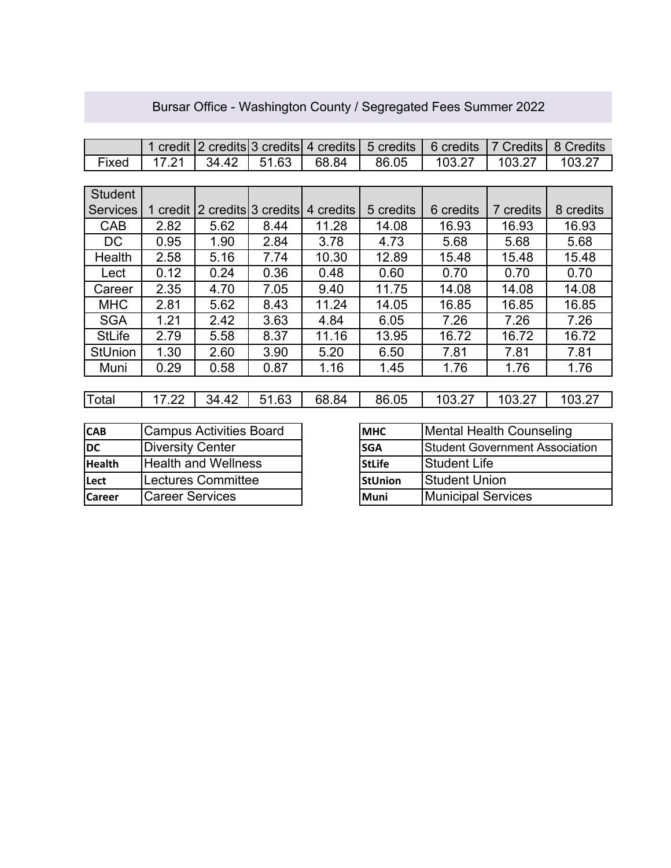|                 | 1 credit                       |                            | 2 credits 3 credits | 4 credits | 5 credits      | 6 credits                             | <b>7 Credits</b> | 8 Credits |
|-----------------|--------------------------------|----------------------------|---------------------|-----------|----------------|---------------------------------------|------------------|-----------|
| Fixed           | 17.21                          | 34.42                      | 51.63               | 68.84     | 86.05          | 103.27                                | 103.27           | 103.27    |
|                 |                                |                            |                     |           |                |                                       |                  |           |
| <b>Student</b>  |                                |                            |                     |           |                |                                       |                  |           |
| <b>Services</b> | 1 credit                       |                            | 2 credits 3 credits | 4 credits | 5 credits      | 6 credits                             | 7 credits        | 8 credits |
| CAB             | 2.82                           | 5.62                       | 8.44                | 11.28     | 14.08          | 16.93                                 | 16.93            | 16.93     |
| DC              | 0.95                           | 1.90                       | 2.84                | 3.78      | 4.73           | 5.68                                  | 5.68             | 5.68      |
| Health          | 2.58                           | 5.16                       | 7.74                | 10.30     | 12.89          | 15.48                                 | 15.48            | 15.48     |
| Lect            | 0.12                           | 0.24                       | 0.36                | 0.48      | 0.60           | 0.70                                  | 0.70             | 0.70      |
| Career          | 2.35                           | 4.70                       | 7.05                | 9.40      | 11.75          | 14.08                                 | 14.08            | 14.08     |
| <b>MHC</b>      | 2.81                           | 5.62                       | 8.43                | 11.24     | 14.05          | 16.85                                 | 16.85            | 16.85     |
| <b>SGA</b>      | 1.21                           | 2.42                       | 3.63                | 4.84      | 6.05           | 7.26                                  | 7.26             | 7.26      |
| <b>StLife</b>   | 2.79                           | 5.58                       | 8.37                | 11.16     | 13.95          | 16.72                                 | 16.72            | 16.72     |
| <b>StUnion</b>  | 1.30                           | 2.60                       | 3.90                | 5.20      | 6.50           | 7.81                                  | 7.81             | 7.81      |
| Muni            | 0.29                           | 0.58                       | 0.87                | 1.16      | 1.45           | 1.76                                  | 1.76             | 1.76      |
|                 |                                |                            |                     |           |                |                                       |                  |           |
| Total           | 17.22                          | 34.42                      | 51.63               | 68.84     | 86.05          | 103.27                                | 103.27           | 103.27    |
|                 |                                |                            |                     |           |                |                                       |                  |           |
| <b>CAB</b>      | <b>Campus Activities Board</b> |                            |                     |           | <b>MHC</b>     | <b>Mental Health Counseling</b>       |                  |           |
| <b>DC</b>       | <b>Diversity Center</b>        |                            |                     |           | <b>SGA</b>     | <b>Student Government Association</b> |                  |           |
| <b>Health</b>   |                                | <b>Health and Wellness</b> |                     |           | <b>StLife</b>  | <b>Student Life</b>                   |                  |           |
| Lect            |                                | <b>Lectures Committee</b>  |                     |           | <b>StUnion</b> | <b>Student Union</b>                  |                  |           |
| <b>Career</b>   | <b>Career Services</b>         |                            |                     |           | Muni           | <b>Municipal Services</b>             |                  |           |

## Bursar Office - Washington County / Segregated Fees Summer 2022